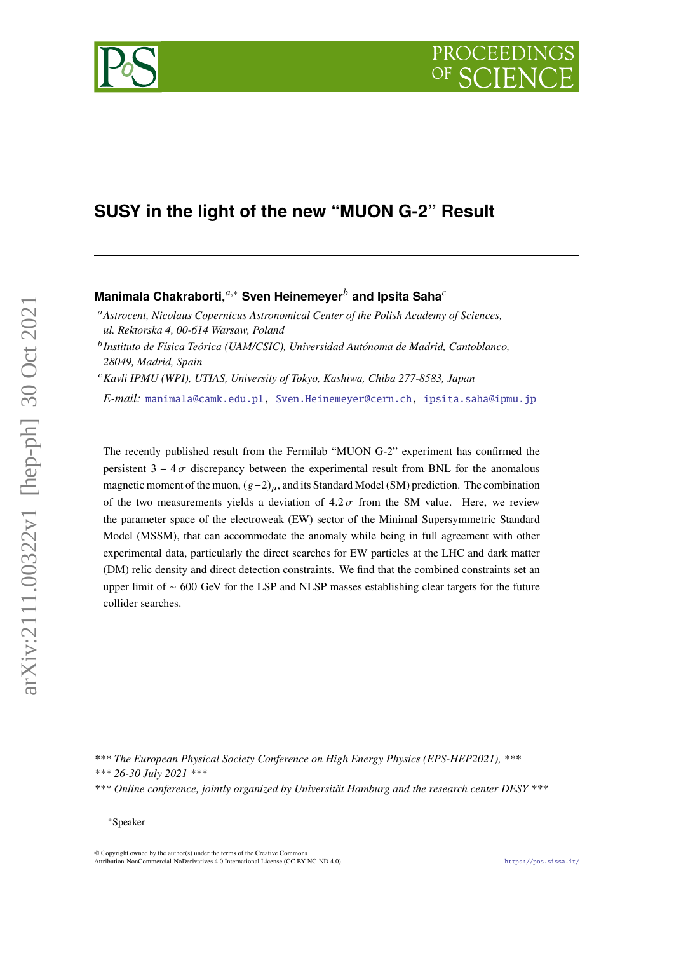# **SUSY in the light of the new "MUON G-2" Result**

## Manimala Chakraborti,<sup>*a*,∗</sup> Sven Heinemeyer<sup>*b*</sup> and Ipsita Saha<sup>*c*</sup>

*Astrocent, Nicolaus Copernicus Astronomical Center of the Polish Academy of Sciences, ul. Rektorska 4, 00-614 Warsaw, Poland*

 *Instituto de Física Teórica (UAM/CSIC), Universidad Autónoma de Madrid, Cantoblanco, 28049, Madrid, Spain*

*Kavli IPMU (WPI), UTIAS, University of Tokyo, Kashiwa, Chiba 277-8583, Japan*

*E-mail:* [manimala@camk.edu.pl,](mailto:manimala@camk.edu.pl) [Sven.Heinemeyer@cern.ch,](mailto:Sven.Heinemeyer@cern.ch) [ipsita.saha@ipmu.jp](mailto:ipsita.saha@ipmu.jp)

The recently published result from the Fermilab "MUON G-2" experiment has confirmed the persistent  $3 - 4\sigma$  discrepancy between the experimental result from BNL for the anomalous magnetic moment of the muon,  $(g-2)_u$ , and its Standard Model (SM) prediction. The combination of the two measurements yields a deviation of  $4.2 \sigma$  from the SM value. Here, we review the parameter space of the electroweak (EW) sector of the Minimal Supersymmetric Standard Model (MSSM), that can accommodate the anomaly while being in full agreement with other experimental data, particularly the direct searches for EW particles at the LHC and dark matter (DM) relic density and direct detection constraints. We find that the combined constraints set an upper limit of ∼ 600 GeV for the LSP and NLSP masses establishing clear targets for the future collider searches.

*\*\*\* The European Physical Society Conference on High Energy Physics (EPS-HEP2021), \*\*\**

*\*\*\* 26-30 July 2021 \*\*\**

arXiv:2111.00322v1 [hep-ph] 30 Oct 2021

arXiv:2111.00322v1 [hep-ph] 30 Oct 2021



*<sup>\*\*\*</sup> Online conference, jointly organized by Universität Hamburg and the research center DESY \*\*\**

<sup>∗</sup>Speaker

<sup>©</sup> Copyright owned by the author(s) under the terms of the Creative Commons Attribution-NonCommercial-NoDerivatives 4.0 International License (CC BY-NC-ND 4.0). <https://pos.sissa.it/>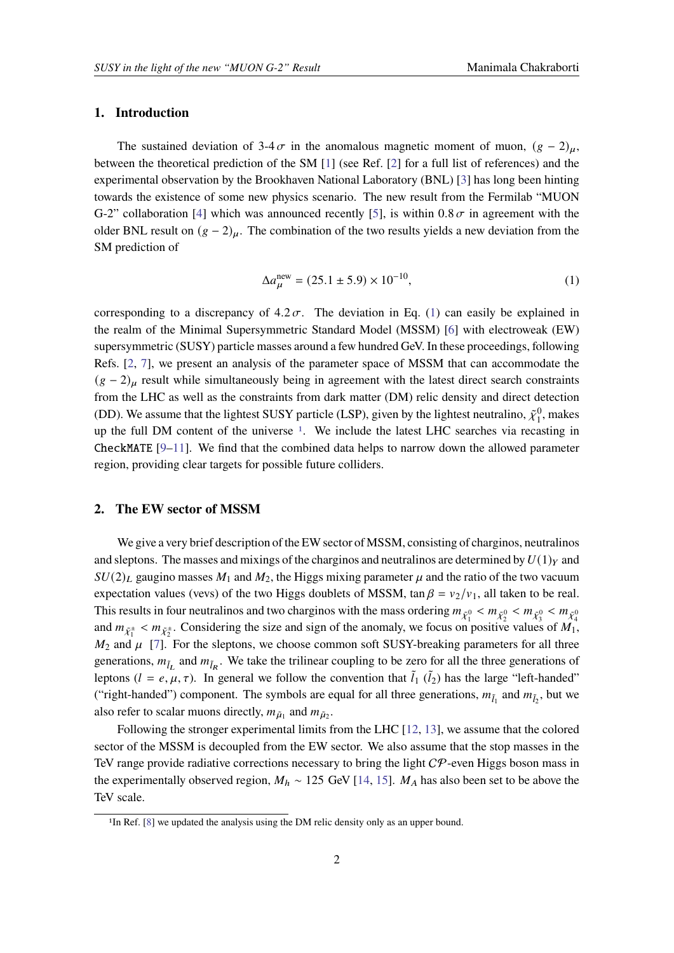## **1. Introduction**

The sustained deviation of 3-4  $\sigma$  in the anomalous magnetic moment of muon,  $(g - 2)_{\mu}$ , between the theoretical prediction of the SM [\[1\]](#page-4-0) (see Ref. [\[2\]](#page-4-1) for a full list of references) and the experimental observation by the Brookhaven National Laboratory (BNL) [\[3\]](#page-4-2) has long been hinting towards the existence of some new physics scenario. The new result from the Fermilab "MUON G-2" collaboration [\[4\]](#page-4-3) which was announced recently [\[5\]](#page-4-4), is within  $0.8 \sigma$  in agreement with the older BNL result on  $(g - 2)_{\mu}$ . The combination of the two results yields a new deviation from the SM prediction of

<span id="page-1-0"></span>
$$
\Delta a_{\mu}^{\text{new}} = (25.1 \pm 5.9) \times 10^{-10},\tag{1}
$$

corresponding to a discrepancy of  $4.2 \sigma$ . The deviation in Eq. [\(1\)](#page-1-0) can easily be explained in the realm of the Minimal Supersymmetric Standard Model (MSSM) [\[6\]](#page-4-5) with electroweak (EW) supersymmetric (SUSY) particle masses around a few hundred GeV. In these proceedings, following Refs. [\[2,](#page-4-1) [7\]](#page-4-6), we present an analysis of the parameter space of MSSM that can accommodate the  $(g - 2)$ <sub>u</sub> result while simultaneously being in agreement with the latest direct search constraints from the LHC as well as the constraints from dark matter (DM) relic density and direct detection (DD). We assume that the lightest SUSY particle (LSP), given by the lightest neutralino,  $\tilde{\chi}_1^0$ , makes up the full DM content of the universe [1](#page-1-1). We include the latest LHC searches via recasting in CheckMATE [\[9–](#page-4-7)[11\]](#page-4-8). We find that the combined data helps to narrow down the allowed parameter region, providing clear targets for possible future colliders.

## **2. The EW sector of MSSM**

We give a very brief description of the EW sector of MSSM, consisting of charginos, neutralinos and sleptons. The masses and mixings of the charginos and neutralinos are determined by  $U(1)_Y$  and  $SU(2)_L$  gaugino masses  $M_1$  and  $M_2$ , the Higgs mixing parameter  $\mu$  and the ratio of the two vacuum expectation values (vevs) of the two Higgs doublets of MSSM, tan  $\beta = v_2/v_1$ , all taken to be real. This results in four neutralinos and two charginos with the mass ordering  $m_{\tilde{\chi}^0_1} < m_{\tilde{\chi}^0_2} < m_{\tilde{\chi}^0_3} < m_{\tilde{\chi}^0_4}$ and  $m_{\tilde{\chi}_1^{\pm}} < m_{\tilde{\chi}_2^{\pm}}$ . Considering the size and sign of the anomaly, we focus on positive values of  $M_1$ ,  $M_2$  and  $\mu$  [\[7\]](#page-4-6). For the sleptons, we choose common soft SUSY-breaking parameters for all three generations,  $m_{\tilde{l}_L}$  and  $m_{\tilde{l}_R}$ . We take the trilinear coupling to be zero for all the three generations of leptons  $(l = e, \mu, \tau)$ . In general we follow the convention that  $\tilde{l}_1$  ( $\tilde{l}_2$ ) has the large "left-handed" ("right-handed") component. The symbols are equal for all three generations,  $m_{\tilde{l}_1}$  and  $m_{\tilde{l}_2}$ , but we also refer to scalar muons directly,  $m_{\tilde{\mu}_1}$  and  $m_{\tilde{\mu}_2}$ .

Following the stronger experimental limits from the LHC [\[12,](#page-5-0) [13\]](#page-5-1), we assume that the colored sector of the MSSM is decoupled from the EW sector. We also assume that the stop masses in the TeV range provide radiative corrections necessary to bring the light  $C\mathcal{P}$ -even Higgs boson mass in the experimentally observed region,  $M_h \sim 125$  GeV [\[14,](#page-5-2) [15\]](#page-5-3).  $M_A$  has also been set to be above the TeV scale.

<span id="page-1-1"></span><sup>&</sup>lt;sup>1</sup>In Ref. [\[8\]](#page-4-9) we updated the analysis using the DM relic density only as an upper bound.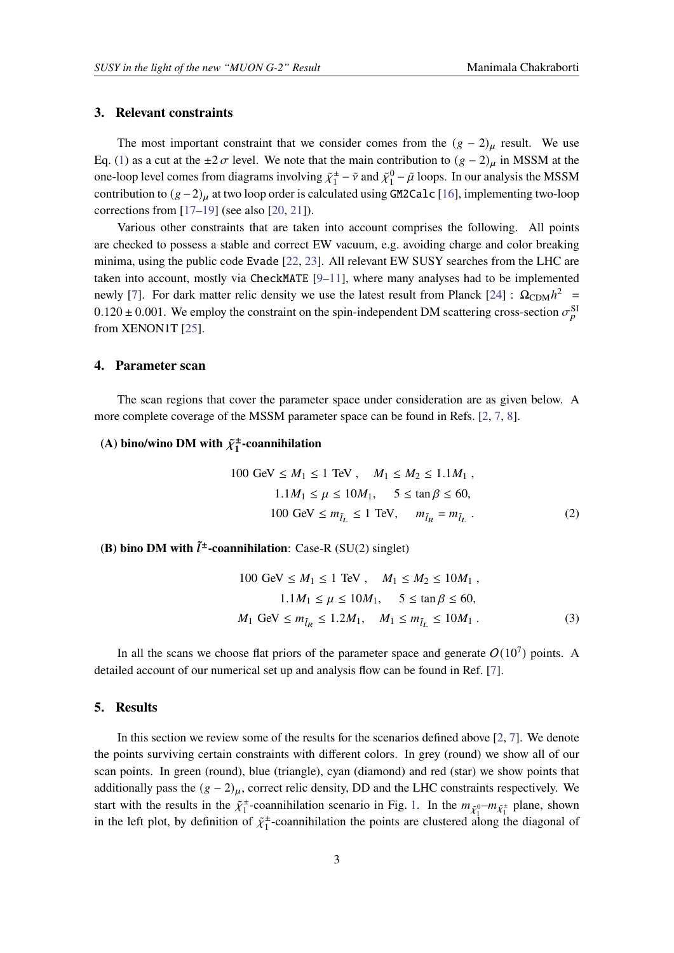## **3. Relevant constraints**

The most important constraint that we consider comes from the  $(g - 2)$ <sub>u</sub> result. We use Eq. [\(1\)](#page-1-0) as a cut at the  $\pm 2 \sigma$  level. We note that the main contribution to  $(g - 2)$ <sub>µ</sub> in MSSM at the one-loop level comes from diagrams involving  $\tilde{\chi}_1^{\pm}$  $\frac{1}{1} - \tilde{v}$  and  $\tilde{\chi}_1^0 - \tilde{\mu}$  loops. In our analysis the MSSM contribution to  $(g-2)$  at two loop order is calculated using GM2Calc [\[16\]](#page-5-4), implementing two-loop corrections from  $[17–19]$  $[17–19]$  (see also  $[20, 21]$  $[20, 21]$  $[20, 21]$ ).

Various other constraints that are taken into account comprises the following. All points are checked to possess a stable and correct EW vacuum, e.g. avoiding charge and color breaking minima, using the public code Evade [\[22,](#page-5-9) [23\]](#page-5-10). All relevant EW SUSY searches from the LHC are taken into account, mostly via CheckMATE [\[9](#page-4-7)[–11\]](#page-4-8), where many analyses had to be implemented newly [\[7\]](#page-4-6). For dark matter relic density we use the latest result from Planck [\[24\]](#page-5-11) :  $\Omega_{CDM}h^2$  =  $0.120 \pm 0.001$ . We employ the constraint on the spin-independent DM scattering cross-section  $\sigma_p^{\text{SI}}$ from XENON1T [\[25\]](#page-5-12).

## **4. Parameter scan**

The scan regions that cover the parameter space under consideration are as given below. A more complete coverage of the MSSM parameter space can be found in Refs. [\[2,](#page-4-1) [7,](#page-4-6) [8\]](#page-4-9).

#### (A) bino/wino DM with  $\tilde{\chi}^{\pm}$ **1 -coannihilation**

100 GeV 
$$
\leq M_1 \leq 1
$$
 TeV,  $M_1 \leq M_2 \leq 1.1M_1$ ,  
\n $1.1M_1 \leq \mu \leq 10M_1$ ,  $5 \leq \tan \beta \leq 60$ ,  
\n100 GeV  $\leq m_{\tilde{l}_L} \leq 1$  TeV,  $m_{\tilde{l}_R} = m_{\tilde{l}_L}$ . (2)

## **(B) bino DM with**  $\tilde{l}^{\pm}$ **-coannihilation:** Case-R (SU(2) singlet)

$$
100 \text{ GeV} \le M_1 \le 1 \text{ TeV}, \quad M_1 \le M_2 \le 10M_1,
$$
  

$$
1.1M_1 \le \mu \le 10M_1, \quad 5 \le \tan \beta \le 60,
$$
  

$$
M_1 \text{ GeV} \le m_{\tilde{l}_R} \le 1.2M_1, \quad M_1 \le m_{\tilde{l}_L} \le 10M_1.
$$
 (3)

In all the scans we choose flat priors of the parameter space and generate  $O(10^7)$  points. A detailed account of our numerical set up and analysis flow can be found in Ref. [\[7\]](#page-4-6).

## **5. Results**

In this section we review some of the results for the scenarios defined above  $[2, 7]$  $[2, 7]$  $[2, 7]$ . We denote the points surviving certain constraints with different colors. In grey (round) we show all of our scan points. In green (round), blue (triangle), cyan (diamond) and red (star) we show points that additionally pass the  $(g - 2)_{\mu}$ , correct relic density, DD and the LHC constraints respectively. We start with the results in the  $\tilde{\chi}^{\pm}$  $\pm$ -coannihilation scenario in Fig. [1.](#page-3-0) In the  $m_{\tilde{\chi}_1^0}$ - $m_{\tilde{\chi}_1^{\pm}}$  plane, shown in the left plot, by definition of  $\tilde{\chi}_1^{\pm}$ -coannihilation the points are clustered al  $_1^{\pm}$ -coannihilation the points are clustered along the diagonal of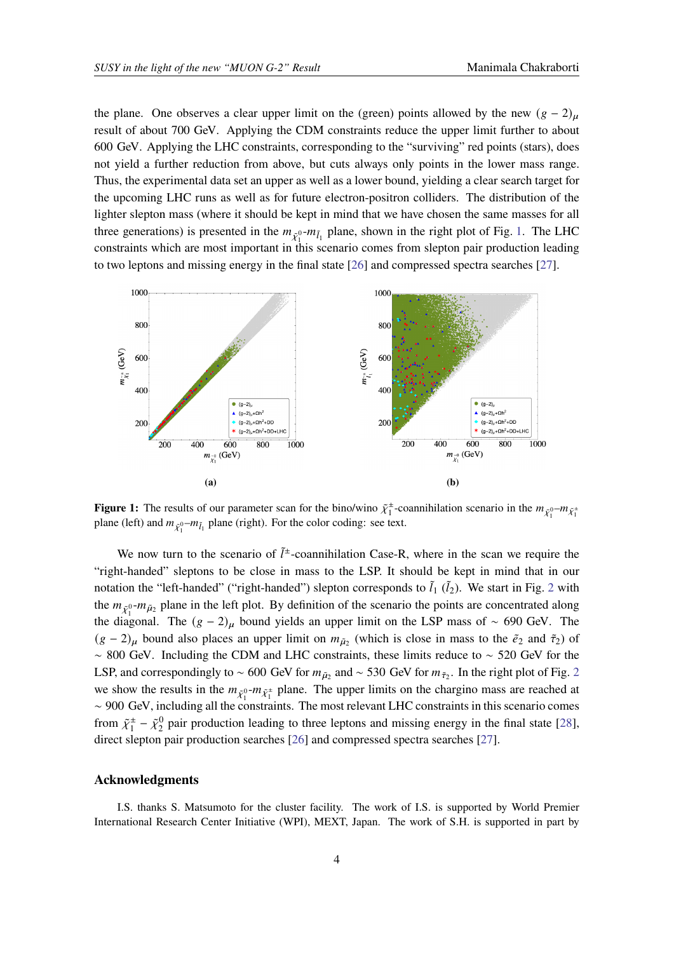the plane. One observes a clear upper limit on the (green) points allowed by the new  $(g - 2)$ result of about 700 GeV. Applying the CDM constraints reduce the upper limit further to about 600 GeV. Applying the LHC constraints, corresponding to the "surviving" red points (stars), does not yield a further reduction from above, but cuts always only points in the lower mass range. Thus, the experimental data set an upper as well as a lower bound, yielding a clear search target for the upcoming LHC runs as well as for future electron-positron colliders. The distribution of the lighter slepton mass (where it should be kept in mind that we have chosen the same masses for all three generations) is presented in the  $m_{\tilde{\chi}_1^{0}}$ - $m_{\tilde{l}_1}$  plane, shown in the right plot of Fig. [1.](#page-3-0) The LHC constraints which are most important in this scenario comes from slepton pair production leading to two leptons and missing energy in the final state [\[26\]](#page-5-13) and compressed spectra searches [\[27\]](#page-5-14).

<span id="page-3-0"></span>

**Figure 1:** The results of our parameter scan for the bino/wino  $\tilde{\chi}_1^{\pm}$ -coannihilation scenario in the  $m_{\tilde{\chi}_1^0}$ - $m_{\tilde{\chi}_1^{\pm}}$ plane (left) and  $m_{\tilde{\chi}_1^{0}}$ - $m_{\tilde{l}_1}$  plane (right). For the color coding: see text.

We now turn to the scenario of  $\tilde{l}^{\pm}$ -coannihilation Case-R, where in the scan we require the "right-handed" sleptons to be close in mass to the LSP. It should be kept in mind that in our notation the "left-handed" ("right-handed") slepton corresponds to  $\tilde{l}_1$  ( $\tilde{l}_2$  $\tilde{l}_2$ ). We start in Fig. 2 with the  $m_{\tilde{\chi}_1^0}$ - $m_{\tilde{\mu}_2}$  plane in the left plot. By definition of the scenario the points are concentrated along the diagonal. The  $(g - 2)$ <sub>µ</sub> bound yields an upper limit on the LSP mass of ~ 690 GeV. The  $(g - 2)$ <sub>μ</sub> bound also places an upper limit on  $m_{\tilde{\mu}_2}$  (which is close in mass to the  $\tilde{e}_2$  and  $\tilde{\tau}_2$ ) of ∼ 800 GeV. Including the CDM and LHC constraints, these limits reduce to ∼ 520 GeV for the LSP, and correspondingly to ~ 600 GeV for  $m_{\tilde{\mu}_2}$  $m_{\tilde{\mu}_2}$  $m_{\tilde{\mu}_2}$  and ~ 530 GeV for  $m_{\tilde{\tau}_2}$ . In the right plot of Fig. 2 we show the results in the  $m_{\tilde{\chi}_1^0}$ - $m_{\tilde{\chi}_1^{\pm}}$  plane. The upper limits on the chargino mass are reached at ∼ 900 GeV, including all the constraints. The most relevant LHC constraints in this scenario comes from  $\tilde{\chi}_1^{\pm}$  $\frac{1}{1} - \tilde{\chi}_2^0$  pair production leading to three leptons and missing energy in the final state [\[28\]](#page-5-15), direct slepton pair production searches [\[26\]](#page-5-13) and compressed spectra searches [\[27\]](#page-5-14).

## **Acknowledgments**

I.S. thanks S. Matsumoto for the cluster facility. The work of I.S. is supported by World Premier International Research Center Initiative (WPI), MEXT, Japan. The work of S.H. is supported in part by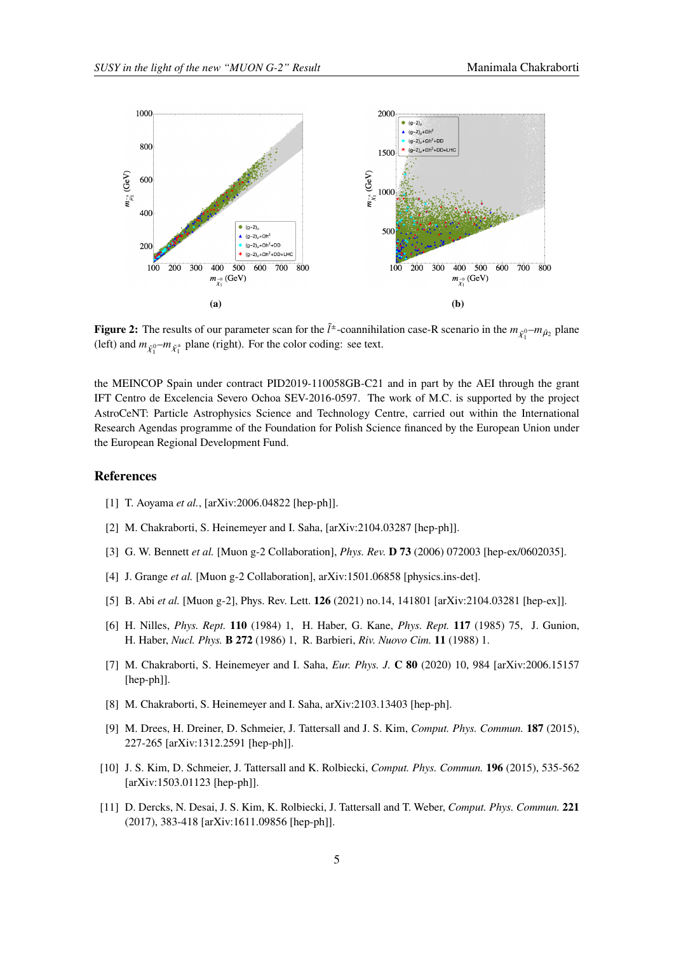<span id="page-4-10"></span>

**Figure 2:** The results of our parameter scan for the  $\tilde{l}^{\pm}$ -coannihilation case-R scenario in the  $m_{\tilde{\chi}_1^{0}}-m_{\tilde{\mu}_2}$  plane (left) and  $m_{\tilde{\chi}_1^0} - m_{\tilde{\chi}_1^{\pm}}$  plane (right). For the color coding: see text.

the MEINCOP Spain under contract PID2019-110058GB-C21 and in part by the AEI through the grant IFT Centro de Excelencia Severo Ochoa SEV-2016-0597. The work of M.C. is supported by the project AstroCeNT: Particle Astrophysics Science and Technology Centre, carried out within the International Research Agendas programme of the Foundation for Polish Science financed by the European Union under the European Regional Development Fund.

## **References**

- <span id="page-4-0"></span>[1] T. Aoyama *et al.*, [arXiv:2006.04822 [hep-ph]].
- <span id="page-4-1"></span>[2] M. Chakraborti, S. Heinemeyer and I. Saha, [arXiv:2104.03287 [hep-ph]].
- <span id="page-4-2"></span>[3] G. W. Bennett *et al.* [Muon g-2 Collaboration], *Phys. Rev.* **D 73** (2006) 072003 [hep-ex/0602035].
- <span id="page-4-3"></span>[4] J. Grange *et al.* [Muon g-2 Collaboration], arXiv:1501.06858 [physics.ins-det].
- <span id="page-4-4"></span>[5] B. Abi *et al.* [Muon g-2], Phys. Rev. Lett. **126** (2021) no.14, 141801 [arXiv:2104.03281 [hep-ex]].
- <span id="page-4-5"></span>[6] H. Nilles, *Phys. Rept.* **110** (1984) 1, H. Haber, G. Kane, *Phys. Rept.* **117** (1985) 75, J. Gunion, H. Haber, *Nucl. Phys.* **B 272** (1986) 1, R. Barbieri, *Riv. Nuovo Cim.* **11** (1988) 1.
- <span id="page-4-6"></span>[7] M. Chakraborti, S. Heinemeyer and I. Saha, *Eur. Phys. J.* **C 80** (2020) 10, 984 [arXiv:2006.15157 [hep-ph]].
- <span id="page-4-9"></span>[8] M. Chakraborti, S. Heinemeyer and I. Saha, arXiv:2103.13403 [hep-ph].
- <span id="page-4-7"></span>[9] M. Drees, H. Dreiner, D. Schmeier, J. Tattersall and J. S. Kim, *Comput. Phys. Commun.* **187** (2015), 227-265 [arXiv:1312.2591 [hep-ph]].
- [10] J. S. Kim, D. Schmeier, J. Tattersall and K. Rolbiecki, *Comput. Phys. Commun.* **196** (2015), 535-562 [arXiv:1503.01123 [hep-ph]].
- <span id="page-4-8"></span>[11] D. Dercks, N. Desai, J. S. Kim, K. Rolbiecki, J. Tattersall and T. Weber, *Comput. Phys. Commun.* **221** (2017), 383-418 [arXiv:1611.09856 [hep-ph]].